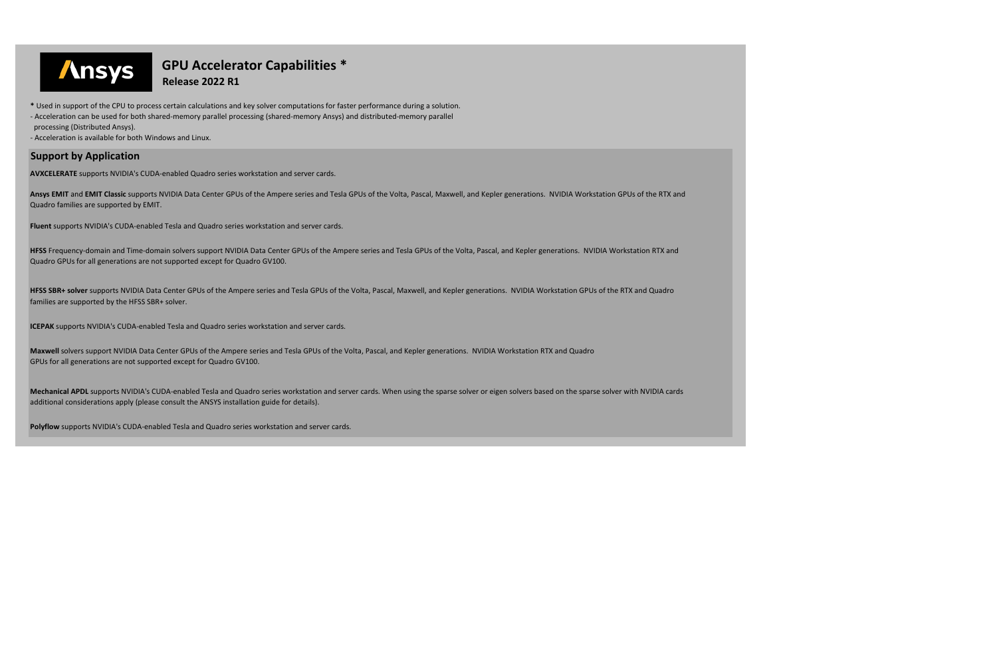**Maxwell** solvers support NVIDIA Data Center GPUs of the Ampere series and Tesla GPUs of the Volta, Pascal, and Kepler generations. NVIDIA Workstation RTX and Quadro GPUs for all generations are not supported except for Quadro GV100.

**Mechanical APDL** supports NVIDIA's CUDA-enabled Tesla and Quadro series workstation and server cards. When using the sparse solver or eigen solvers based on the sparse solver with NVIDIA cards additional considerations apply (please consult the ANSYS installation guide for details).

- Acceleration can be used for both shared-memory parallel processing (shared-memory Ansys) and distributed-memory parallel
- processing (Distributed Ansys).

**Polyflow** supports NVIDIA's CUDA-enabled Tesla and Quadro series workstation and server cards.



## \*\*\*\*\*\*\*\*\*\*\*\*\*\*\*\*\*\*\*\*\*\*\*\*\*\***GPU Accelerator Capabilities \***



**\*** Used in support of the CPU to process certain calculations and key solver computations for faster performance during a solution.

- Acceleration is available for both Windows and Linux.

## **Support by Application**

**AVXCELERATE** supports NVIDIA's CUDA-enabled Quadro series workstation and server cards.

**Ansys EMIT** and **EMIT Classic** supports NVIDIA Data Center GPUs of the Ampere series and Tesla GPUs of the Volta, Pascal, Maxwell, and Kepler generations. NVIDIA Workstation GPUs of the RTX and Quadro families are supported by EMIT.

**Fluent** supports NVIDIA's CUDA-enabled Tesla and Quadro series workstation and server cards.

**HFSS** Frequency-domain and Time-domain solvers support NVIDIA Data Center GPUs of the Ampere series and Tesla GPUs of the Volta, Pascal, and Kepler generations. NVIDIA Workstation RTX and Quadro GPUs for all generations are not supported except for Quadro GV100.

**HFSS SBR+ solver** supports NVIDIA Data Center GPUs of the Ampere series and Tesla GPUs of the Volta, Pascal, Maxwell, and Kepler generations. NVIDIA Workstation GPUs of the RTX and Quadro families are supported by the HFSS SBR+ solver.

**ICEPAK** supports NVIDIA's CUDA-enabled Tesla and Quadro series workstation and server cards.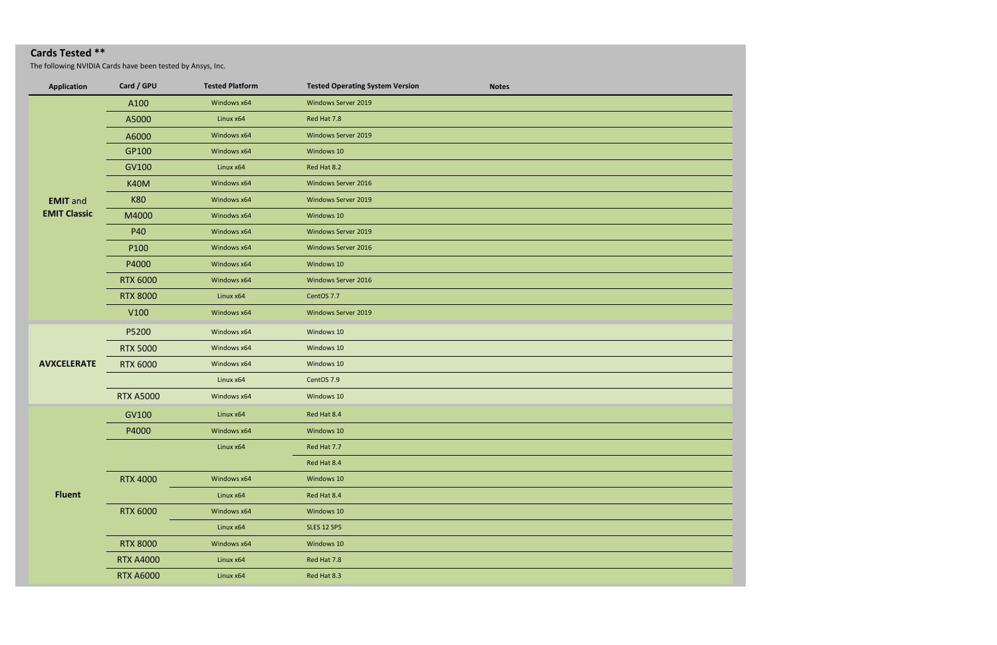## **Cards Tested \*\***

The following NVIDIA Cards have been tested by Ansys, Inc.

| <b>Application</b>  | Card / GPU       | <b>Tested Platform</b> | <b>Tested Operating System Version</b> | <b>Notes</b> |
|---------------------|------------------|------------------------|----------------------------------------|--------------|
| <b>EMIT</b> and     | A100             | Windows x64            | Windows Server 2019                    |              |
|                     | A5000            | Linux x64              | Red Hat 7.8                            |              |
|                     | A6000            | Windows x64            | Windows Server 2019                    |              |
|                     | GP100            | Windows x64            | Windows 10                             |              |
|                     | GV100            | Linux x64              | Red Hat 8.2                            |              |
|                     | <b>K40M</b>      | Windows x64            | Windows Server 2016                    |              |
|                     | <b>K80</b>       | Windows x64            | Windows Server 2019                    |              |
| <b>EMIT Classic</b> | M4000            | Winodws x64            | Windows 10                             |              |
|                     | P40              | Windows x64            | Windows Server 2019                    |              |
|                     | P100             | Windows x64            | Windows Server 2016                    |              |
|                     | P4000            | Windows x64            | Windows 10                             |              |
|                     | <b>RTX 6000</b>  | Windows x64            | Windows Server 2016                    |              |
|                     | <b>RTX 8000</b>  | Linux x64              | CentOS 7.7                             |              |
|                     | V100             | Windows x64            | Windows Server 2019                    |              |
|                     | P5200            | Windows x64            | Windows 10                             |              |
|                     | <b>RTX 5000</b>  | Windows x64            | Windows 10                             |              |
| <b>AVXCELERATE</b>  | <b>RTX 6000</b>  | Windows x64            | Windows 10                             |              |
|                     |                  | Linux x64              | CentOS 7.9                             |              |
|                     | <b>RTX A5000</b> | Windows x64            | Windows 10                             |              |
|                     | GV100            | Linux x64              | Red Hat 8.4                            |              |
|                     | P4000            | Windows x64            | Windows 10                             |              |
| <b>Fluent</b>       |                  | Linux x64              | Red Hat 7.7                            |              |
|                     |                  |                        | Red Hat 8.4                            |              |
|                     | <b>RTX 4000</b>  | Windows x64            | Windows 10                             |              |
|                     |                  | Linux x64              | Red Hat 8.4                            |              |
|                     | <b>RTX 6000</b>  | Windows x64            | Windows 10                             |              |
|                     |                  | Linux x64              | <b>SLES 12 SP5</b>                     |              |
|                     | <b>RTX 8000</b>  | Windows x64            | Windows 10                             |              |
|                     | <b>RTX A4000</b> | Linux x64              | Red Hat 7.8                            |              |
|                     | <b>RTX A6000</b> | Linux x64              | Red Hat 8.3                            |              |

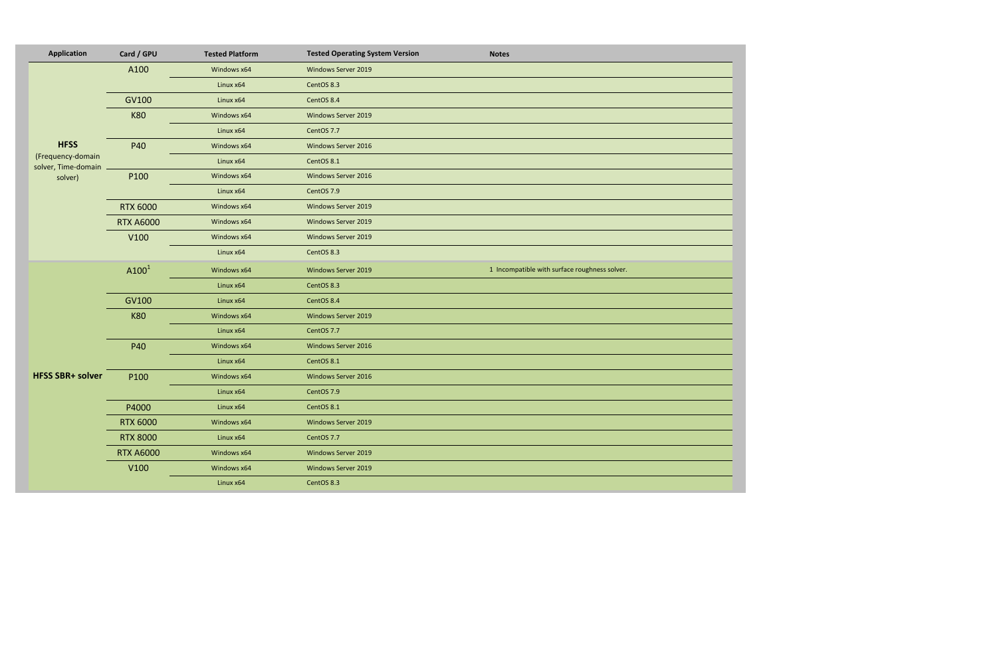| <b>Application</b>                       | Card / GPU       | <b>Tested Platform</b> | <b>Tested Operating System Version</b> | <b>Notes</b>                                  |
|------------------------------------------|------------------|------------------------|----------------------------------------|-----------------------------------------------|
| <b>HFSS</b>                              | A100             | Windows x64            | Windows Server 2019                    |                                               |
|                                          |                  | Linux x64              | CentOS 8.3                             |                                               |
|                                          | GV100            | Linux x64              | CentOS 8.4                             |                                               |
|                                          | <b>K80</b>       | Windows x64            | Windows Server 2019                    |                                               |
|                                          |                  | Linux x64              | CentOS 7.7                             |                                               |
|                                          | P40              | Windows x64            | Windows Server 2016                    |                                               |
| (Frequency-domain<br>solver, Time-domain |                  | Linux x64              | CentOS 8.1                             |                                               |
| solver)                                  | P100             | Windows x64            | Windows Server 2016                    |                                               |
|                                          |                  | Linux x64              | CentOS 7.9                             |                                               |
|                                          | <b>RTX 6000</b>  | Windows x64            | Windows Server 2019                    |                                               |
|                                          | <b>RTX A6000</b> | Windows x64            | Windows Server 2019                    |                                               |
|                                          | V100             | Windows x64            | Windows Server 2019                    |                                               |
|                                          |                  | Linux x64              | CentOS 8.3                             |                                               |
|                                          | A100 $1$         | Windows x64            | Windows Server 2019                    | 1 Incompatible with surface roughness solver. |
|                                          |                  | Linux x64              | CentOS 8.3                             |                                               |
|                                          | GV100            | Linux x64              | CentOS 8.4                             |                                               |
|                                          | <b>K80</b>       | Windows x64            | Windows Server 2019                    |                                               |
|                                          |                  | Linux x64              | CentOS 7.7                             |                                               |
|                                          | P40              | Windows x64            | Windows Server 2016                    |                                               |
| <b>HFSS SBR+ solver</b>                  |                  | Linux x64              | CentOS 8.1                             |                                               |
|                                          | P100             | Windows x64            | Windows Server 2016                    |                                               |
|                                          |                  | Linux x64              | CentOS 7.9                             |                                               |
|                                          | P4000            | Linux x64              | CentOS 8.1                             |                                               |
|                                          | <b>RTX 6000</b>  | Windows x64            | Windows Server 2019                    |                                               |
|                                          | <b>RTX 8000</b>  | Linux x64              | CentOS 7.7                             |                                               |
|                                          | <b>RTX A6000</b> | Windows x64            | <b>Windows Server 2019</b>             |                                               |
|                                          | V100             | Windows x64            | Windows Server 2019                    |                                               |
|                                          |                  | Linux x64              | CentOS 8.3                             |                                               |

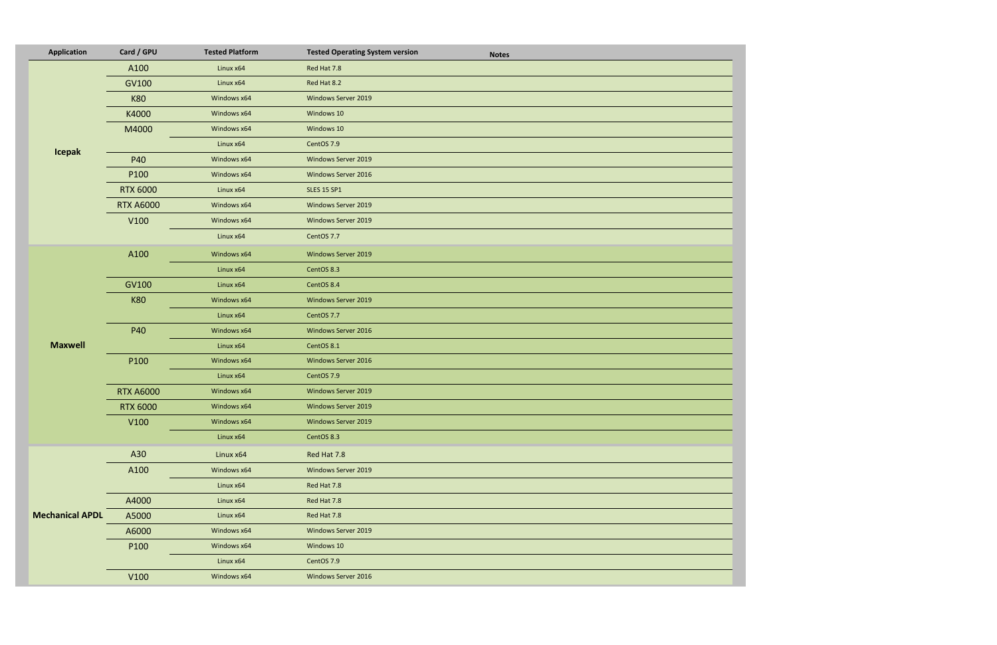| <b>Application</b>     | Card / GPU       | <b>Tested Platform</b> | <b>Tested Operating System version</b><br><b>Notes</b> |
|------------------------|------------------|------------------------|--------------------------------------------------------|
|                        | A100             | Linux x64              | Red Hat 7.8                                            |
|                        | GV100            | Linux x64              | Red Hat 8.2                                            |
|                        | <b>K80</b>       | Windows x64            | Windows Server 2019                                    |
|                        | K4000            | Windows x64            | Windows 10                                             |
|                        | M4000            | Windows x64            | Windows 10                                             |
|                        |                  | Linux x64              | CentOS 7.9                                             |
| <b>Icepak</b>          | P40              | Windows x64            | Windows Server 2019                                    |
|                        | P100             | Windows x64            | Windows Server 2016                                    |
|                        | <b>RTX 6000</b>  | Linux x64              | <b>SLES 15 SP1</b>                                     |
|                        | <b>RTX A6000</b> | Windows x64            | Windows Server 2019                                    |
|                        | V100             | Windows x64            | Windows Server 2019                                    |
|                        |                  | Linux x64              | CentOS 7.7                                             |
|                        | A100             | Windows x64            | Windows Server 2019                                    |
|                        |                  | Linux x64              | CentOS 8.3                                             |
|                        | GV100            | Linux x64              | CentOS 8.4                                             |
|                        | <b>K80</b>       | Windows x64            | Windows Server 2019                                    |
|                        |                  | Linux x64              | CentOS 7.7                                             |
|                        | P40              | Windows x64            | Windows Server 2016                                    |
| <b>Maxwell</b>         |                  | Linux x64              | CentOS 8.1                                             |
|                        | P100             | Windows x64            | Windows Server 2016                                    |
|                        |                  | Linux x64              | CentOS 7.9                                             |
|                        | <b>RTX A6000</b> | Windows x64            | Windows Server 2019                                    |
|                        | <b>RTX 6000</b>  | Windows x64            | Windows Server 2019                                    |
|                        | V100             | Windows x64            | Windows Server 2019                                    |
|                        |                  | Linux x64              | CentOS 8.3                                             |
| <b>Mechanical APDL</b> | A30              | Linux x64              | Red Hat 7.8                                            |
|                        | A100             | Windows x64            | Windows Server 2019                                    |
|                        |                  | Linux x64              | Red Hat 7.8                                            |
|                        | A4000            | Linux x64              | Red Hat 7.8                                            |
|                        | A5000            | Linux x64              | Red Hat 7.8                                            |
|                        | A6000            | Windows x64            | Windows Server 2019                                    |
|                        | P100             | Windows x64            | Windows 10                                             |
|                        |                  | Linux x64              | CentOS 7.9                                             |
|                        | V100             | Windows x64            | Windows Server 2016                                    |